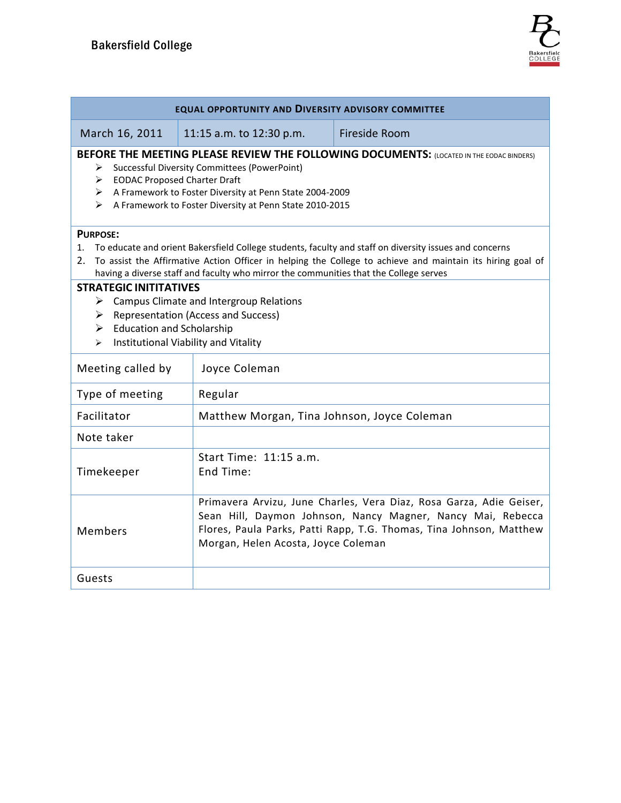| EQUAL OPPORTUNITY AND DIVERSITY ADVISORY COMMITTEE                                                                                                                                                                                                                                                                                        |                                                                                                                                                                                                                                                  |               |  |  |  |
|-------------------------------------------------------------------------------------------------------------------------------------------------------------------------------------------------------------------------------------------------------------------------------------------------------------------------------------------|--------------------------------------------------------------------------------------------------------------------------------------------------------------------------------------------------------------------------------------------------|---------------|--|--|--|
| March 16, 2011                                                                                                                                                                                                                                                                                                                            | 11:15 a.m. to 12:30 p.m.                                                                                                                                                                                                                         | Fireside Room |  |  |  |
| BEFORE THE MEETING PLEASE REVIEW THE FOLLOWING DOCUMENTS: (LOCATED IN THE EODAC BINDERS)<br><b>Successful Diversity Committees (PowerPoint)</b><br>> EODAC Proposed Charter Draft<br>A Framework to Foster Diversity at Penn State 2004-2009<br>A Framework to Foster Diversity at Penn State 2010-2015<br>⋗                              |                                                                                                                                                                                                                                                  |               |  |  |  |
| <b>PURPOSE:</b><br>1. To educate and orient Bakersfield College students, faculty and staff on diversity issues and concerns<br>To assist the Affirmative Action Officer in helping the College to achieve and maintain its hiring goal of<br>2.<br>having a diverse staff and faculty who mirror the communities that the College serves |                                                                                                                                                                                                                                                  |               |  |  |  |
| <b>STRATEGIC INITITATIVES</b><br><b>Campus Climate and Intergroup Relations</b><br>➤<br><b>Representation (Access and Success)</b><br>➤<br>$\triangleright$ Education and Scholarship<br>Institutional Viability and Vitality<br>$\blacktriangleright$                                                                                    |                                                                                                                                                                                                                                                  |               |  |  |  |
| Meeting called by                                                                                                                                                                                                                                                                                                                         | Joyce Coleman                                                                                                                                                                                                                                    |               |  |  |  |
| Type of meeting                                                                                                                                                                                                                                                                                                                           | Regular                                                                                                                                                                                                                                          |               |  |  |  |
| Facilitator                                                                                                                                                                                                                                                                                                                               | Matthew Morgan, Tina Johnson, Joyce Coleman                                                                                                                                                                                                      |               |  |  |  |
| Note taker                                                                                                                                                                                                                                                                                                                                |                                                                                                                                                                                                                                                  |               |  |  |  |
| Timekeeper                                                                                                                                                                                                                                                                                                                                | Start Time: 11:15 a.m.<br>End Time:                                                                                                                                                                                                              |               |  |  |  |
| Members                                                                                                                                                                                                                                                                                                                                   | Primavera Arvizu, June Charles, Vera Diaz, Rosa Garza, Adie Geiser,<br>Sean Hill, Daymon Johnson, Nancy Magner, Nancy Mai, Rebecca<br>Flores, Paula Parks, Patti Rapp, T.G. Thomas, Tina Johnson, Matthew<br>Morgan, Helen Acosta, Joyce Coleman |               |  |  |  |
| Guests                                                                                                                                                                                                                                                                                                                                    |                                                                                                                                                                                                                                                  |               |  |  |  |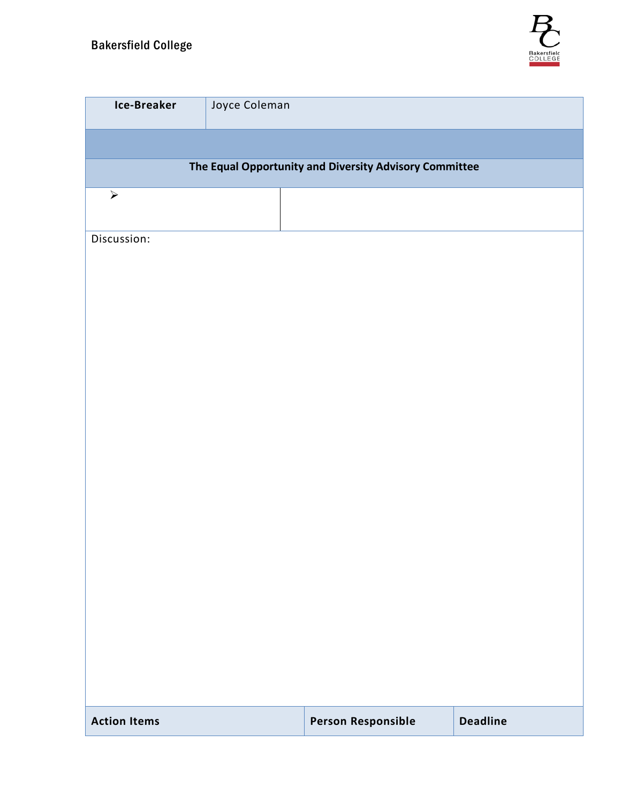

| <b>Ice-Breaker</b>                                     | Joyce Coleman |                           |  |                 |  |  |  |
|--------------------------------------------------------|---------------|---------------------------|--|-----------------|--|--|--|
|                                                        |               |                           |  |                 |  |  |  |
| The Equal Opportunity and Diversity Advisory Committee |               |                           |  |                 |  |  |  |
| $\blacktriangleright$                                  |               |                           |  |                 |  |  |  |
| Discussion:                                            |               |                           |  |                 |  |  |  |
|                                                        |               |                           |  |                 |  |  |  |
|                                                        |               |                           |  |                 |  |  |  |
|                                                        |               |                           |  |                 |  |  |  |
|                                                        |               |                           |  |                 |  |  |  |
|                                                        |               |                           |  |                 |  |  |  |
|                                                        |               |                           |  |                 |  |  |  |
|                                                        |               |                           |  |                 |  |  |  |
|                                                        |               |                           |  |                 |  |  |  |
|                                                        |               |                           |  |                 |  |  |  |
|                                                        |               |                           |  |                 |  |  |  |
|                                                        |               |                           |  |                 |  |  |  |
|                                                        |               |                           |  |                 |  |  |  |
|                                                        |               |                           |  |                 |  |  |  |
|                                                        |               |                           |  |                 |  |  |  |
|                                                        |               |                           |  |                 |  |  |  |
| <b>Action Items</b>                                    |               | <b>Person Responsible</b> |  | <b>Deadline</b> |  |  |  |